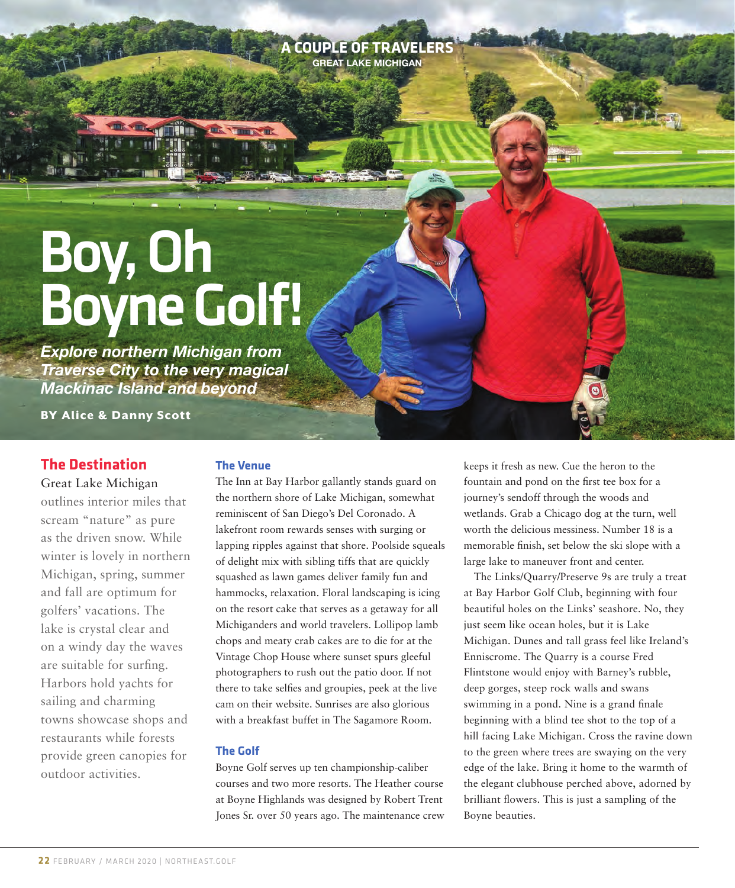**A COUPLE OF TRAVELERS GREAT LAKE MICHIGAN**

# Boy, Oh Boyne Golf!

THE THEFT

*Explore northern Michigan from Traverse City to the very magical Mackinac Island and beyond*

BY Alice & Danny Scott

# **The Destination**

 $X_1 \times X_2 \times X_3$ 

 $X^*$ 

Great Lake Michigan

outlines interior miles that scream "nature" as pure as the driven snow. While winter is lovely in northern Michigan, spring, summer and fall are optimum for golfers' vacations. The lake is crystal clear and on a windy day the waves are suitable for surfing. Harbors hold yachts for sailing and charming towns showcase shops and restaurants while forests provide green canopies for outdoor activities.

#### **The Venue**

The Inn at Bay Harbor gallantly stands guard on the northern shore of Lake Michigan, somewhat reminiscent of San Diego's Del Coronado. A lakefront room rewards senses with surging or lapping ripples against that shore. Poolside squeals of delight mix with sibling tiffs that are quickly squashed as lawn games deliver family fun and hammocks, relaxation. Floral landscaping is icing on the resort cake that serves as a getaway for all Michiganders and world travelers. Lollipop lamb chops and meaty crab cakes are to die for at the Vintage Chop House where sunset spurs gleeful photographers to rush out the patio door. If not there to take selfies and groupies, peek at the live cam on their website. Sunrises are also glorious with a breakfast buffet in The Sagamore Room.

#### **The Golf**

Boyne Golf serves up ten championship-caliber courses and two more resorts. The Heather course at Boyne Highlands was designed by Robert Trent Jones Sr. over 50 years ago. The maintenance crew keeps it fresh as new. Cue the heron to the fountain and pond on the first tee box for a journey's sendoff through the woods and wetlands. Grab a Chicago dog at the turn, well worth the delicious messiness. Number 18 is a memorable finish, set below the ski slope with a large lake to maneuver front and center.

The Links/Quarry/Preserve 9s are truly a treat at Bay Harbor Golf Club, beginning with four beautiful holes on the Links' seashore. No, they just seem like ocean holes, but it is Lake Michigan. Dunes and tall grass feel like Ireland's Enniscrome. The Quarry is a course Fred Flintstone would enjoy with Barney's rubble, deep gorges, steep rock walls and swans swimming in a pond. Nine is a grand finale beginning with a blind tee shot to the top of a hill facing Lake Michigan. Cross the ravine down to the green where trees are swaying on the very edge of the lake. Bring it home to the warmth of the elegant clubhouse perched above, adorned by brilliant flowers. This is just a sampling of the Boyne beauties.